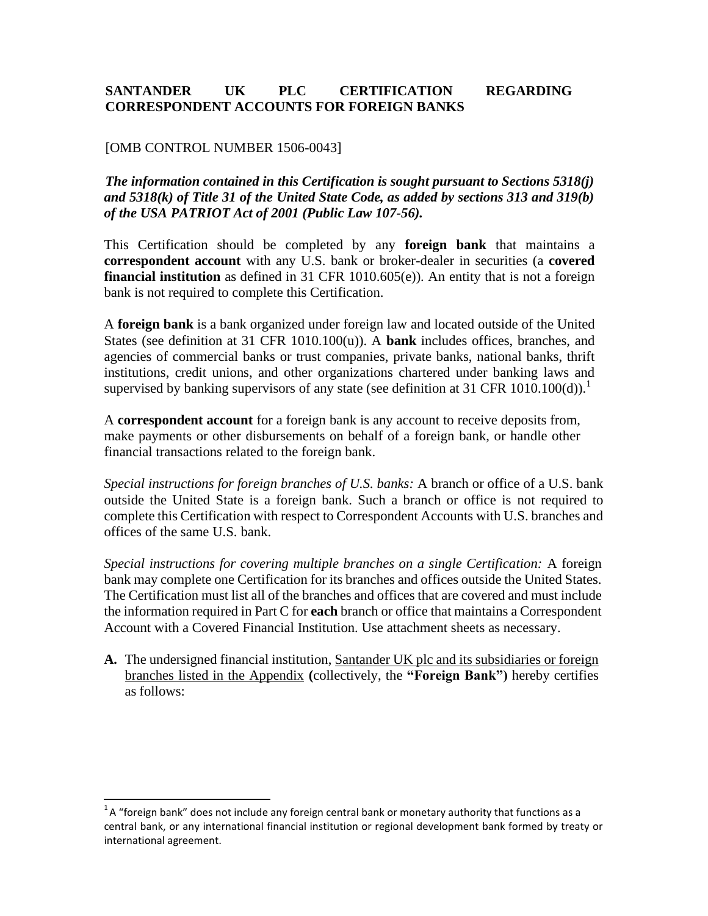# **SANTANDER UK PLC CERTIFICATION REGARDING CORRESPONDENT ACCOUNTS FOR FOREIGN BANKS**

## [OMB CONTROL NUMBER 1506-0043]

*The information contained in this Certification is sought pursuant to Sections 5318(j) and 5318(k) of Title 31 of the United State Code, as added by sections 313 and 319(b) of the USA PATRIOT Act of 2001 (Public Law 107-56).*

This Certification should be completed by any **foreign bank** that maintains a **correspondent account** with any U.S. bank or broker-dealer in securities (a **covered financial institution** as defined in 31 CFR 1010.605(e)). An entity that is not a foreign bank is not required to complete this Certification.

A **foreign bank** is a bank organized under foreign law and located outside of the United States (see definition at 31 CFR 1010.100(u)). A **bank** includes offices, branches, and agencies of commercial banks or trust companies, private banks, national banks, thrift institutions, credit unions, and other organizations chartered under banking laws and supervised by banking supervisors of any state (see definition at 31 CFR 1010.100(d)).

A **correspondent account** for a foreign bank is any account to receive deposits from, make payments or other disbursements on behalf of a foreign bank, or handle other financial transactions related to the foreign bank.

*Special instructions for foreign branches of U.S. banks:* A branch or office of a U.S. bank outside the United State is a foreign bank. Such a branch or office is not required to complete this Certification with respect to Correspondent Accounts with U.S. branches and offices of the same U.S. bank.

*Special instructions for covering multiple branches on a single Certification:* A foreign bank may complete one Certification for its branches and offices outside the United States. The Certification must list all of the branches and offices that are covered and must include the information required in Part C for **each** branch or office that maintains a Correspondent Account with a Covered Financial Institution. Use attachment sheets as necessary.

**A.** The undersigned financial institution, Santander UK plc and its subsidiaries or foreign branches listed in the Appendix **(**collectively, the **"Foreign Bank")** hereby certifies as follows:

 $1A$  "foreign bank" does not include any foreign central bank or monetary authority that functions as a central bank, or any international financial institution or regional development bank formed by treaty or international agreement.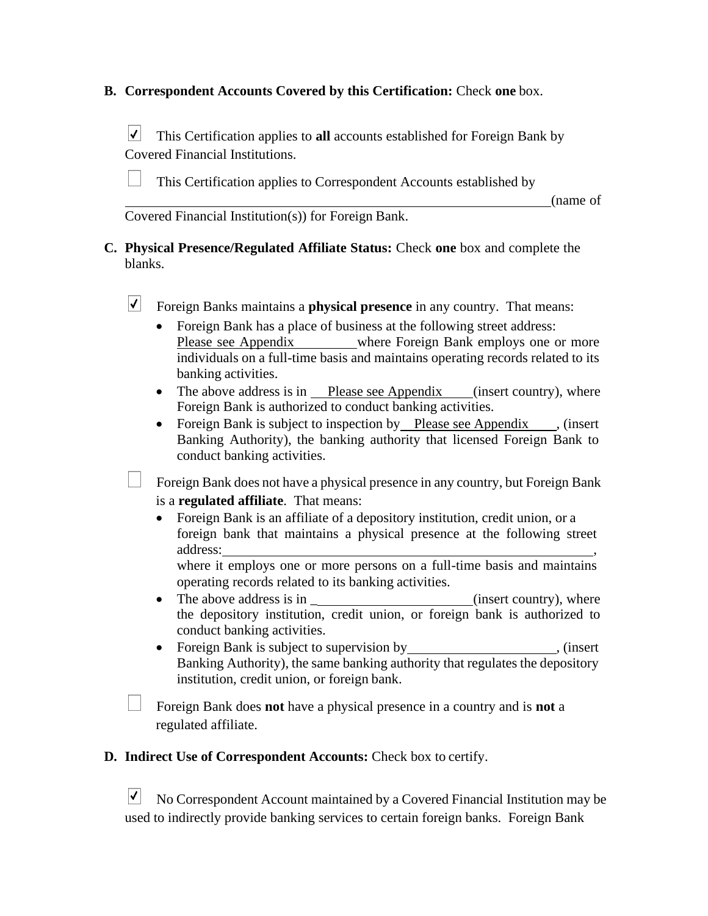# **B. Correspondent Accounts Covered by this Certification:** Check **one** box.

 $|\boldsymbol{v}|$ This Certification applies to **all** accounts established for Foreign Bank by Covered Financial Institutions.

This Certification applies to Correspondent Accounts established by

(name of

Covered Financial Institution(s)) for Foreign Bank.

**C. Physical Presence/Regulated Affiliate Status:** Check **one** box and complete the blanks.

 $|\bm{\mathsf{v}}|$ Foreign Banks maintains a **physical presence** in any country. That means:

- Foreign Bank has a place of business at the following street address: Please see Appendix where Foreign Bank employs one or more individuals on a full-time basis and maintains operating records related to its banking activities.
- The above address is in Please see Appendix (insert country), where Foreign Bank is authorized to conduct banking activities.
- Foreign Bank is subject to inspection by Please see Appendix , (insert Banking Authority), the banking authority that licensed Foreign Bank to conduct banking activities.

Foreign Bank does not have a physical presence in any country, but Foreign Bank is a **regulated affiliate**. That means:

• Foreign Bank is an affiliate of a depository institution, credit union, or a foreign bank that maintains a physical presence at the following street address:

where it employs one or more persons on a full-time basis and maintains operating records related to its banking activities.

- The above address is in  $(insert country)$ , where the depository institution, credit union, or foreign bank is authorized to conduct banking activities.
- Foreign Bank is subject to supervision by **Same Accord Service Contract** (insert Banking Authority), the same banking authority that regulates the depository institution, credit union, or foreign bank.

Foreign Bank does **not** have a physical presence in a country and is **not** a regulated affiliate.

**D. Indirect Use of Correspondent Accounts:** Check box to certify.

 $|\bm{\sqrt}|$ No Correspondent Account maintained by a Covered Financial Institution may be used to indirectly provide banking services to certain foreign banks. Foreign Bank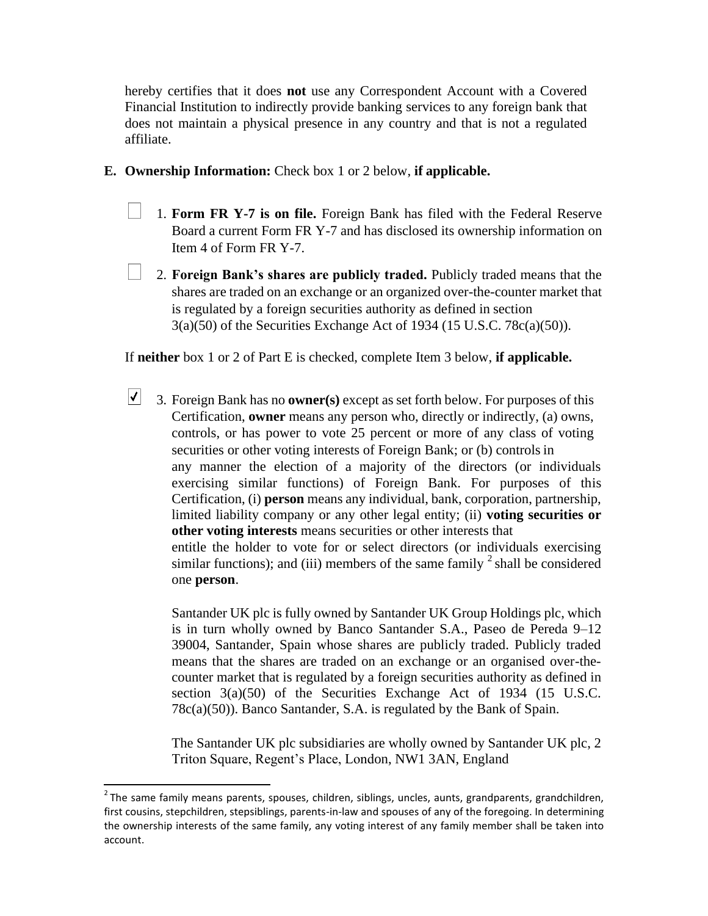hereby certifies that it does **not** use any Correspondent Account with a Covered Financial Institution to indirectly provide banking services to any foreign bank that does not maintain a physical presence in any country and that is not a regulated affiliate.

- **E. Ownership Information:** Check box 1 or 2 below, **if applicable.**
	- 1. **Form FR Y-7 is on file.** Foreign Bank has filed with the Federal Reserve Board a current Form FR Y-7 and has disclosed its ownership information on Item 4 of Form FR Y-7.
	- 2. **Foreign Bank's shares are publicly traded.** Publicly traded means that the shares are traded on an exchange or an organized over-the-counter market that is regulated by a foreign securities authority as defined in section 3(a)(50) of the Securities Exchange Act of 1934 (15 U.S.C. 78c(a)(50)).

If **neither** box 1 or 2 of Part E is checked, complete Item 3 below, **if applicable.**

 $|\boldsymbol{\mathcal{V}}|$ 3. Foreign Bank has no **owner(s)** except as set forth below. For purposes of this Certification, **owner** means any person who, directly or indirectly, (a) owns, controls, or has power to vote 25 percent or more of any class of voting securities or other voting interests of Foreign Bank; or (b) controls in any manner the election of a majority of the directors (or individuals exercising similar functions) of Foreign Bank. For purposes of this Certification, (i) **person** means any individual, bank, corporation, partnership, limited liability company or any other legal entity; (ii) **voting securities or other voting interests** means securities or other interests that entitle the holder to vote for or select directors (or individuals exercising similar functions); and (iii) members of the same family  $\frac{2}{3}$  shall be considered one **person**.

Santander UK plc is fully owned by Santander UK Group Holdings plc, which is in turn wholly owned by Banco Santander S.A., Paseo de Pereda 9–12 39004, Santander, Spain whose shares are publicly traded. Publicly traded means that the shares are traded on an exchange or an organised over-thecounter market that is regulated by a foreign securities authority as defined in section 3(a)(50) of the Securities Exchange Act of 1934 (15 U.S.C. 78c(a)(50)). Banco Santander, S.A. is regulated by the Bank of Spain.

The Santander UK plc subsidiaries are wholly owned by Santander UK plc, 2 Triton Square, Regent's Place, London, NW1 3AN, England

 $2$ The same family means parents, spouses, children, siblings, uncles, aunts, grandparents, grandchildren, first cousins, stepchildren, stepsiblings, parents-in-law and spouses of any of the foregoing. In determining the ownership interests of the same family, any voting interest of any family member shall be taken into account.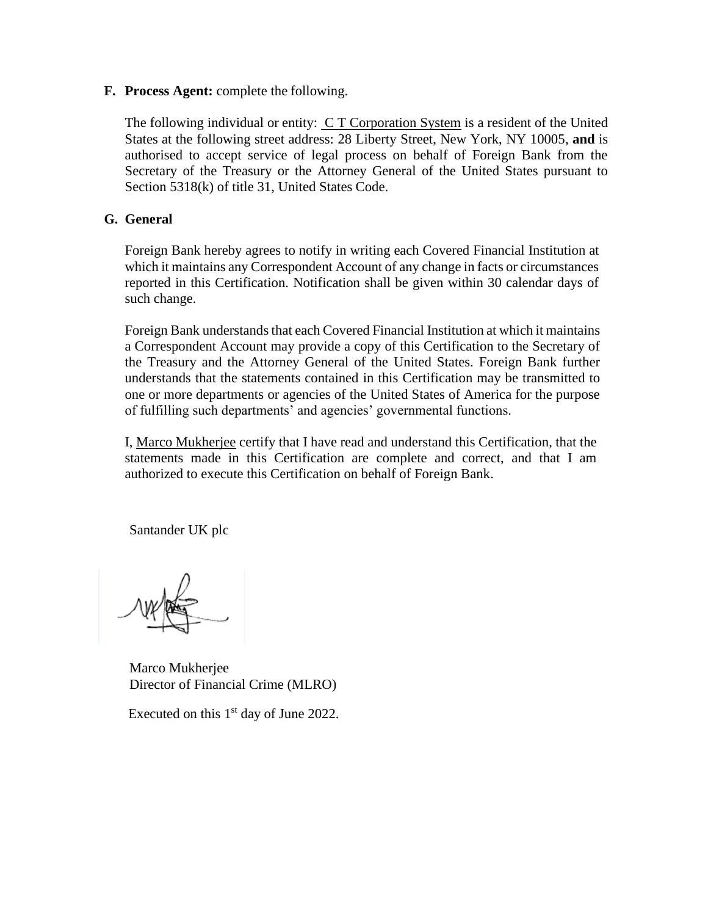**F. Process Agent:** complete the following.

The following individual or entity:  $C T$  Corporation System is a resident of the United States at the following street address: 28 Liberty Street, New York, NY 10005, **and** is authorised to accept service of legal process on behalf of Foreign Bank from the Secretary of the Treasury or the Attorney General of the United States pursuant to Section 5318(k) of title 31, United States Code.

# **G. General**

Foreign Bank hereby agrees to notify in writing each Covered Financial Institution at which it maintains any Correspondent Account of any change in facts or circumstances reported in this Certification. Notification shall be given within 30 calendar days of such change.

Foreign Bank understands that each Covered Financial Institution at which it maintains a Correspondent Account may provide a copy of this Certification to the Secretary of the Treasury and the Attorney General of the United States. Foreign Bank further understands that the statements contained in this Certification may be transmitted to one or more departments or agencies of the United States of America for the purpose of fulfilling such departments' and agencies' governmental functions.

I, Marco Mukherjee certify that I have read and understand this Certification, that the statements made in this Certification are complete and correct, and that I am authorized to execute this Certification on behalf of Foreign Bank.

Santander UK plc

 Marco Mukherjee Director of Financial Crime (MLRO)

Executed on this  $1<sup>st</sup>$  day of June 2022.